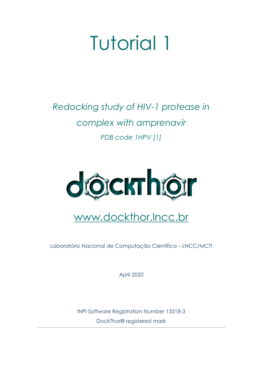# Tutorial 1

# *Redocking study of HIV-1 protease in complex with amprenavir PDB code 1HPV [\[1\]](https://www.zotero.org/google-docs/?R6MGuy)*



# www.dockthor.lncc.br

Laboratório Nacional de Computação Científica – LNCC/MCTI

April 2020

INPI Software Registration Number 13318-3 DockThor® registered mark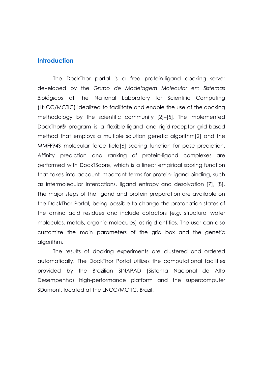#### **Introduction**

The DockThor portal is a free protein-ligand docking server developed by the *Grupo de Modelagem Molecular em Sistemas Biológicos* at the National Laboratory for Scientific Computing (LNCC/MCTIC) idealized to facilitate and enable the use of the docking methodology by the scientific community [\[2\]–\[5\].](https://www.zotero.org/google-docs/?XMonor) The implemented DockThor® program is a flexible-ligand and rigid-receptor grid-based method that employs a multiple solution genetic algorith[m\[2\]](https://www.zotero.org/google-docs/?brNMID) and the MMFF94S molecular force fiel[d\[6\]](https://www.zotero.org/google-docs/?dIqiKx) scoring function for pose prediction. Affinity prediction and ranking of protein-ligand complexes are performed with DockTScore, which is a linear empirical scoring function that takes into account important terms for protein-ligand binding, such as intermolecular interactions, ligand entropy and desolvation [\[7\],](https://www.zotero.org/google-docs/?oBRgP5) [8]. The major steps of the ligand and protein preparation are available on the DockThor Portal, being possible to change the protonation states of the amino acid residues and include cofactors (*e.g.* structural water molecules, metals, organic molecules) as rigid entities. The user can also customize the main parameters of the grid box and the genetic algorithm.

The results of docking experiments are clustered and ordered automatically. The DockThor Portal utilizes the computational facilities provided by the Brazilian SINAPAD (Sistema Nacional de Alto Desempenho) high-performance platform and the supercomputer SDumont, located at the LNCC/MCTIC, Brazil.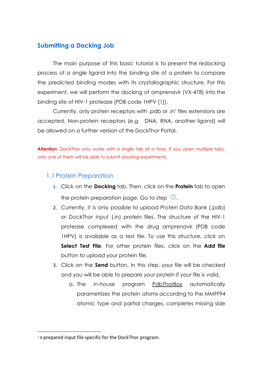#### **Submitting a Docking Job**

The main purpose of this basic tutorial is to present the redocking process of a single ligand into the binding site of a protein to compare the predicted binding modes with its crystallographic structure. For this experiment, we will perform the docking of amprenavir (VX-478) into the binding site of HIV-1 protease (PDB code 1HPV [\[1\]\)](https://www.zotero.org/google-docs/?EUSWY1).

Currently, only protein receptors with .pdb or .in<sup>1</sup> files extensions are accepted. Non-protein receptors (*e.g.* DNA, RNA, another ligand) will be allowed on a further version of the DockThor Portal.

Attention: DockThor only works with a single tab at a time. If you open multiple tabs, only one of them will be able to submit docking experiments.

#### 1.1 Protein Preparation

- 1. Click on the **Docking** tab. Then, click on the **Protein** tab to open the protein preparation page. Go to step  $\mathbb U$ .
- 2. Currently, it is only possible to upload *Protein Data Bank* (.pdb) or *DockThor input* (.in) protein files. The structure of the HIV-1 protease complexed with the drug amprenavir (PDB code 1HPV) is available as a test file. To use this structure, click on **Select Test File**. For other protein files, click on the **Add file** button to upload your protein file.
- 3. Click on the **Send** button. In this step, your file will be checked and you will be able to prepare your protein if your file is valid.
	- a. The *in-house* program PdbThorBox automatically parametrizes the protein atoms according to the MMFF94 atomic type and partial charges, completes missing side

<sup>&</sup>lt;sup>1</sup> A prepared input file specific for the DockThor program.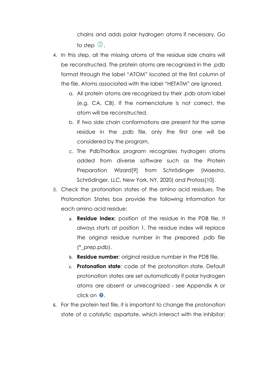chains and adds polar hydrogen atoms if necessary. Go to step  $\mathcal{D}$ .

- 4. In this step, all the missing atoms of the residue side chains will be reconstructed. The protein atoms are recognized in the .pdb format through the label "ATOM" located at the first column of the file. Atoms associated with the label "HETATM" are ignored.
	- a. All protein atoms are recognized by their .pdb atom label (*e.g.* CA, CB). If the nomenclature is not correct, the atom will be reconstructed.
	- b. If two side chain conformations are present for the same residue in the .pdb file, only the first one will be considered by the program.
	- c. The PdbThorBox program recognizes hydrogen atoms added from diverse software such as the Protein Preparation Wizard[\[9\]](https://www.zotero.org/google-docs/?a4TIKX) from Schrödinger (Maestro, Schrödinger, LLC, New York, NY, 2020) and Protoss[\[10\].](https://www.zotero.org/google-docs/?SAsSx1)
- 5. Check the protonation states of the amino acid residues. The Protonation States box provide the following information for each amino acid residue:
	- a. **Residue index:** position of the residue in the PDB file. It always starts at position 1. The residue index will replace the original residue number in the prepared .pdb file (\*\_prep.pdb).
	- b. **Residue number**: original residue number in the PDB file.
	- c. **Protonation state**: code of the protonation state. Default protonation states are set automatically if polar hydrogen atoms are absent or unrecognized - see Appendix A or click on  $\bullet$ .
- 6. For the protein test file, it is important to change the protonation state of a catalytic aspartate, which interact with the inhibitor: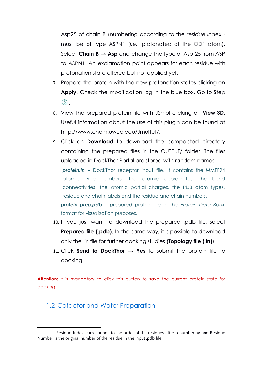Asp25 of chain B (numbering according to the residue index<sup>2</sup>) must be of type ASPN1 (*i.e.,* protonated at the OD1 atom). Select **Chain B** → **Asp** and change the type of Asp-25 from ASP to ASPN1. An exclamation point appears for each residue with protonation state altered but not applied yet.

- 7. Prepare the protein with the new protonation states clicking on **Apply**. Check the modification log in the blue box. Go to Step  $(3)$
- 8. View the prepared protein file with JSmol clicking on **View 3D**. Useful information about the use of this plugin can be found at http://www.chem.uwec.edu/JmolTut/.
- 9. Click on **Download** to download the compacted directory containing the prepared files in the OUTPUT/ folder. The files uploaded in DockThor Portal are stored with random names.

*protein.in* – DockThor receptor input file. It contains the MMFF94 atomic type numbers, the atomic coordinates, the bond connectivities, the atomic partial charges, the PDB atom types, residue and chain labels and the residue and chain numbers.

*protein\_prep.pdb* – prepared protein file in the *Protein Data Bank* format for visualization purposes.

- 10. If you just want to download the prepared .pdb file, select **Prepared file (.pdb)**. In the same way, it is possible to download only the .in file for further docking studies (**Topology file (.in)**).
- 11. Click **Send to DockThor** → **Yes** to submit the protein file to docking.

Attention: it is mandatory to click this button to save the current protein state for docking.

#### 1.2 Cofactor and Water Preparation

<sup>&</sup>lt;sup>2</sup> Residue Index corresponds to the order of the residues after renumbering and Residue Number is the original number of the residue in the input .pdb file.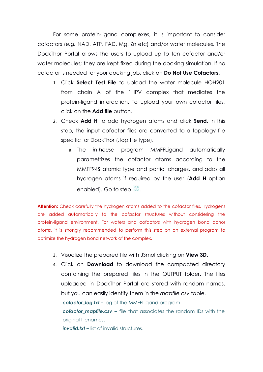For some protein-ligand complexes, it is important to consider cofactors (*e.g.* NAD, ATP, FAD, Mg, Zn etc) and/or water molecules. The DockThor Portal allows the users to upload up to ten cofactor and/or water molecules; they are kept fixed during the docking simulation. If no cofactor is needed for your docking job, click on **Do Not Use Cofactors**.

- 1. Click **Select Test File** to upload the water molecule HOH201 from chain A of the 1HPV complex that mediates the protein-ligand interaction. To upload your own cofactor files, click on the **Add file** button.
- 2. Check **Add H** to add hydrogen atoms and click **Send**. In this step, the input cofactor files are converted to a topology file specific for DockThor (.top file type).
	- a. The *in-house* program MMFFLigand automatically parametrizes the cofactor atoms according to the MMFF94S atomic type and partial charges, and adds all hydrogen atoms if required by the user (**Add H** option enabled). Go to step  $\mathcal{Q}$ .

**Attention:** Check carefully the hydrogen atoms added to the cofactor files. Hydrogens are added automatically to the cofactor structures without considering the protein-ligand environment. For waters and cofactors with hydrogen bond donor atoms, it is strongly recommended to perform this step on an external program to optimize the hydrogen bond network of the complex.

- 3. Visualize the prepared file with JSmol clicking on **View 3D**.
- 4. Click on **Download** to download the compacted directory containing the prepared files in the OUTPUT folder. The files uploaded in DockThor Portal are stored with random names, but you can easily identify them in the *mapfile.csv* table.

*cofactor\_log.txt –* log of the MMFFLigand program.

*cofactor\_mapfile.csv –* file that associates the random IDs with the original filenames.

**invalid.txt** – list of invalid structures.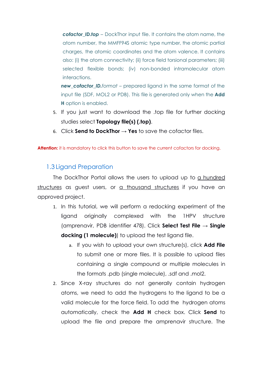*cofactor ID.top* – DockThor input file. It contains the atom name, the atom number, the MMFF94S atomic type number, the atomic partial charges, the atomic coordinates and the atom valence. It contains also: (i) the atom connectivity; (ii) force field torsional parameters; (iii) selected flexible bonds; (iv) non-bonded intramolecular atom interactions.

*new\_cofactor\_ID.format* – prepared ligand in the same format of the input file (SDF, MOL2 or PDB). This file is generated only when the **Add H** option is enabled.

- 5. If you just want to download the .top file for further docking studies select **Topology file(s) (.top)**.
- 6. Click **Send to DockThor** → **Yes** to save the cofactor files.

Attention: it is mandatory to click this button to save the current cofactors for docking.

#### 1.3 Ligand Preparation

The DockThor Portal allows the users to upload up to a hundred structures as guest users, or a thousand structures if you have an approved project.

- 1. In this tutorial, we will perform a redocking experiment of the ligand originally complexed with the 1HPV structure (amprenavir, PDB identifier 478). Click **Select Test File → Single docking (1 molecule)**) to upload the test ligand file.
	- a. If you wish to upload your own structure(s), click **Add File** to submit one or more files. It is possible to upload files containing a single compound or multiple molecules in the formats .pdb (single molecule), .sdf and .mol2.
- 2. Since X-ray structures do not generally contain hydrogen atoms, we need to add the hydrogens to the ligand to be a valid molecule for the force field. To add the hydrogen atoms automatically, check the **Add H** check box. Click **Send** to upload the file and prepare the amprenavir structure. The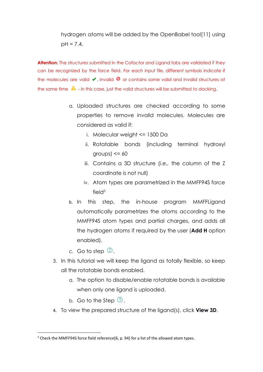### hydrogen atoms will be added by the OpenBabel tool[\[11\]](https://www.zotero.org/google-docs/?bZHdem) using  $pH = 7.4$ .

**Attention:** The structures submitted in the Cofactor and Ligand tabs are validated if they can be recognized by the force field. For each input file, different symbols indicate if the molecules are valid  $\vee$ , invalid  $\heartsuit$  or contains some valid and invalid structures at the same time  $\blacktriangle$  - in this case, just the valid structures will be submitted to docking.

- a. Uploaded structures are checked according to some properties to remove invalid molecules. Molecules are considered as valid if:
	- i. Molecular weight <= 1500 Da
	- ii. Rotatable bonds (including terminal hydroxyl  $groups) \leq 60$
	- iii. Contains a 3D structure (*i.e.,* the column of the Z coordinate is not null)
	- iv. Atom types are parametrized in the MMFF94S force fiel $d^3$
- b. In this step, the in-house program MMFFLigand automatically parametrizes the atoms according to the MMFF94S atom types and partial charges, and adds all the hydrogen atoms if required by the user (**Add H** option enabled).
- c. Go to step  $\mathbb Q$ .
- 3. In this tutorial we will keep the ligand as totally flexible, so keep all the rotatable bonds enabled.
	- a. The option to disable/enable rotatable bonds is available when only one ligand is uploaded.
	- b. Go to the Step  $\circled{3}$ .
- 4. To view the prepared structure of the ligand(s), click **View 3D**.

<sup>&</sup>lt;sup>3</sup> Check the MMFF94S force field reference[6, p. [94\]](https://www.zotero.org/google-docs/?W7LyWI) for a list of the allowed atom types.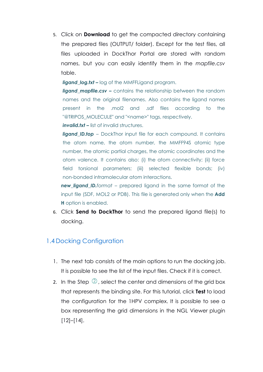5. Click on **Download** to get the compacted directory containing the prepared files (OUTPUT/ folder). Except for the test files, all files uploaded in DockThor Portal are stored with random names, but you can easily identify them in the *mapfile.csv* table.

*ligand log.txt* – log of the MMFFLigand program.

*ligand mapfile.csv –* contains the relationship between the random names and the original filenames. Also contains the ligand names present in the .mol2 and .sdf files according to the "@TRIPOS MOLECULE" and "<name>" tags, respectively.

*invalid.txt –* list of invalid structures.

**ligand\_ID.top** – DockThor input file for each compound. It contains the atom name, the atom number, the MMFF94S atomic type number, the atomic partial charges, the atomic coordinates and the atom valence. It contains also: (i) the atom connectivity; (ii) force field torsional parameters; (iii) selected flexible bonds; (iv) non-bonded intramolecular atom interactions.

*new\_ligand\_ID.format* – prepared ligand in the same format of the input file (SDF, MOL2 or PDB). This file is generated only when the **Add H** option is enabled.

6. Click **Send to DockThor** to send the prepared ligand file(s) to docking.

#### 1.4 Docking Configuration

- 1. The next tab consists of the main options to run the docking job. It is possible to see the list of the input files. Check if it is correct.
- 2. In the Step  $\mathbb{Q}$ , select the center and dimensions of the grid box that represents the binding site. For this tutorial, click **Test** to load the configuration for the 1HPV complex. It is possible to see a box representing the grid dimensions in the NGL Viewer plugin [\[12\]–\[14\].](https://www.zotero.org/google-docs/?BXTKLt)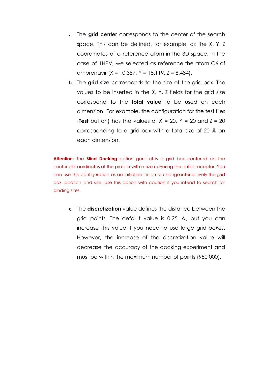- a. The **grid center** corresponds to the center of the search space. This can be defined, for example, as the X, Y, Z coordinates of a reference atom in the 3D space. In the case of 1HPV, we selected as reference the atom C6 of amprenavir ( $X = 10.387$ ,  $Y = 18.119$ ,  $Z = 8.484$ ).
- b. The **grid size** corresponds to the size of the grid box. The values to be inserted in the X, Y, Z fields for the grid size correspond to the **total value** to be used on each dimension. For example, the configuration for the test files **(Test** button) has the values of  $X = 20$ ,  $Y = 20$  and  $Z = 20$ corresponding to a grid box with a total size of 20 Å on each dimension.

**Attention:** The **Blind Docking** option generates a grid box centered on the center of coordinates of the protein with a size covering the entire receptor. You can use this configuration as an initial definition to change interactively the grid box location and size. Use this option with caution if you intend to search for binding sites.

c. The **discretization** value defines the distance between the grid points. The default value is 0.25 Å, but you can increase this value if you need to use large grid boxes. However, the increase of the discretization value will decrease the accuracy of the docking experiment and must be within the maximum number of points (950 000).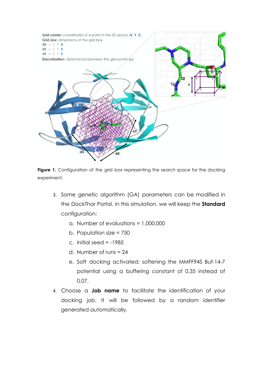

**Figure 1.** Configuration of the grid box representing the search space for the docking experiment.

- 3. Some genetic algorithm (GA) parameters can be modified in the DockThor Portal. In this simulation, we will keep the **Standard** configuration:
	- a. Number of evaluations = 1,000,000
	- b. Population size = 750
	- c. Initial seed  $= -1985$
	- d. Number of runs = 24
	- e. Soft docking activated: softening the MMFF94S Buf-14-7 potential using a buffering constant of 0.35 instead of 0.07.
- 4. Choose a **Job name** to facilitate the identification of your docking job. It will be followed by a random identifier generated automatically.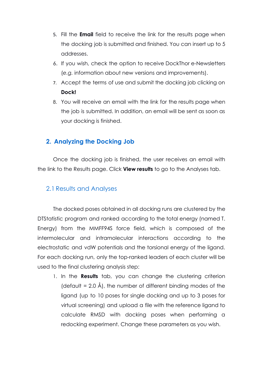- 5. Fill the **Email** field to receive the link for the results page when the docking job is submitted and finished. You can insert up to 5 addresses.
- 6. If you wish, check the option to receive DockThor e-Newsletters (*e.g.* information about new versions and improvements).
- 7. Accept the terms of use and submit the docking job clicking on **Dock!**
- 8. You will receive an email with the link for the results page when the job is submitted. In addition, an email will be sent as soon as your docking is finished.

#### **2. Analyzing the Docking Job**

Once the docking job is finished, the user receives an email with the link to the Results page. Click **View results** to go to the Analyses tab.

#### 2.1 Results and Analyses

The docked poses obtained in all docking runs are clustered by the DTStatistic program and ranked according to the total energy (named T. Energy) from the MMFF94S force field, which is composed of the intermolecular and intramolecular interactions according to the electrostatic and vdW potentials and the torsional energy of the ligand. For each docking run, only the top-ranked leaders of each cluster will be used to the final clustering analysis step:

1. In the **Results** tab, you can change the clustering criterion  $\beta$  (default = 2.0 Å), the number of different binding modes of the ligand (up to 10 poses for single docking and up to 3 poses for virtual screening) and upload a file with the reference ligand to calculate RMSD with docking poses when performing a redocking experiment. Change these parameters as you wish.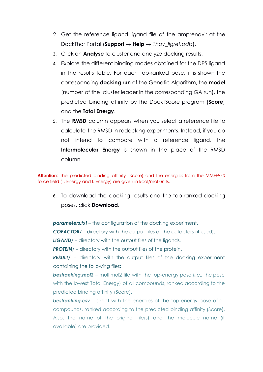- 2. Get the reference ligand ligand file of the amprenavir at the DockThor Portal (**Support → Help →** *1hpv\_ligref.pdb*).
- 3. Click on **Analyse** to cluster and analyze docking results.
- 4. Explore the different binding modes obtained for the DPS ligand in the results table. For each top-ranked pose, it is shown the corresponding **docking run** of the Genetic Algorithm, the **model** (number of the cluster leader in the corresponding GA run), the predicted binding affinity by the DockTScore program (**Score**) and the **Total Energy**.
- 5. The **RMSD** column appears when you select a reference file to calculate the RMSD in redocking experiments. Instead, if you do not intend to compare with a reference ligand, the **Intermolecular Energy** is shown in the place of the RMSD column.

**Attention**: The predicted binding affinity (Score) and the energies from the MMFF94S force field (T. Energy and I. Energy) are given in kcal/mol units.

6. To download the docking results and the top-ranked docking poses, click **Download**.

**parameters.txt** – the configuration of the docking experiment.

*COFACTOR/* – directory with the output files of the cofactors (if used).

*LIGAND/* – directory with the output files of the ligands.

**PROTEIN/** – directory with the output files of the protein.

*RESULT/* – directory with the output files of the docking experiment containing the following files:

*bestranking.mol2* – multimol2 file with the top-energy pose (*i.e.,* the pose with the lowest Total Energy) of all compounds, ranked according to the predicted binding affinity (Score).

*bestranking.csv* – sheet with the energies of the top-energy pose of all compounds, ranked according to the predicted binding affinity (Score). Also, the name of the original file(s) and the molecule name (if available) are provided.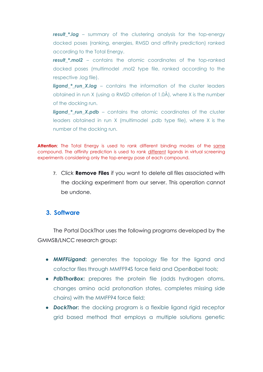*result\_\*.log* – summary of the clustering analysis for the top-energy docked poses (ranking, energies, RMSD and affinity prediction) ranked according to the Total Energy.

*result \*.mol2* – contains the atomic coordinates of the top-ranked docked poses (multimodel .mol2 type file, ranked according to the respective .log file).

**ligand \* run X.log** – contains the information of the cluster leaders obtained in run X (using a RMSD criterion of 1.0Å), where X is the number of the docking run.

*ligand* \* run X.pdb – contains the atomic coordinates of the cluster leaders obtained in run X (multimodel .pdb type file), where X is the number of the docking run.

**Attention**: The Total Energy is used to rank different binding modes of the same compound. The affinity prediction is used to rank different ligands in virtual screening experiments considering only the top-energy pose of each compound.

7. Click **Remove Files** if you want to delete all files associated with the docking experiment from our server. This operation cannot be undone.

#### **3. Software**

The Portal DockThor uses the following programs developed by the GMMSB/LNCC research group:

- *MMFFLigand***:** generates the topology file for the ligand and cofactor files through MMFF94S force field and OpenBabel tools;
- *PdbThorBox***:** prepares the protein file (adds hydrogen atoms, changes amino acid protonation states, completes missing side chains) with the MMFF94 force field;
- *DockThor***:** the docking program is a flexible ligand rigid receptor grid based method that employs a multiple solutions genetic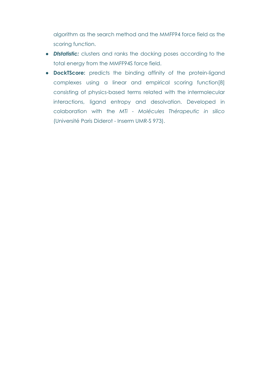algorithm as the search method and the MMFF94 force field as the scoring function.

- *Dtstatistic:* clusters and ranks the docking poses according to the total energy from the MMFF94S force field.
- **● DockTScore:** predicts the binding affinity of the protein-ligand complexes using a linear and empirical scoring function[\[8\]](https://www.zotero.org/google-docs/?cgXiUJ) consisting of physics-based terms related with the intermolecular interactions, ligand entropy and desolvation. Developed in colaboration with the *MTi - Molécules Thérapeutic in silico* (Université Paris Diderot - Inserm UMR-S 973).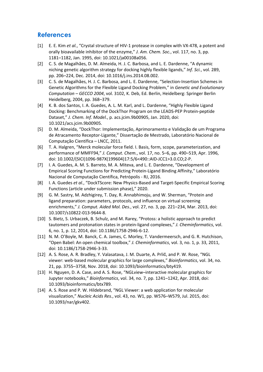#### **References**

- [\[1\]](https://www.zotero.org/google-docs/?krXolQ) E. E. [Kim](https://www.zotero.org/google-docs/?krXolQ) *et [al.](https://www.zotero.org/google-docs/?krXolQ)*, "Crystal [structure](https://www.zotero.org/google-docs/?krXolQ) of HIV-1 protease in complex with VX-478, a potent and orally [bioavailable](https://www.zotero.org/google-docs/?krXolQ) inhibitor of the enzyme," *J. Am. [Chem.](https://www.zotero.org/google-docs/?krXolQ) Soc.*, vol. [117,](https://www.zotero.org/google-docs/?krXolQ) no. 3, pp. 1181–1182, Jan. 1995, doi: [10.1021/ja00108a056.](https://www.zotero.org/google-docs/?krXolQ)
- [\[2\]](https://www.zotero.org/google-docs/?krXolQ) C. S. de [Magalhães,](https://www.zotero.org/google-docs/?krXolQ) D. M. Almeida, H. J. C. Barbosa, and L. E. Dardenne, "A dynamic niching genetic [algorithm](https://www.zotero.org/google-docs/?krXolQ) strategy for docking highly flexible ligands," *Inf. [Sci.](https://www.zotero.org/google-docs/?krXolQ)*, vol. [289,](https://www.zotero.org/google-docs/?krXolQ) pp. 206–224, Dec. 2014, doi: [10.1016/j.ins.2014.08.002.](https://www.zotero.org/google-docs/?krXolQ)
- [\[3\]](https://www.zotero.org/google-docs/?krXolQ) C. S. de Magalhães, H. J. C. Barbosa, and L. E. Dardenne, ["Selection-Insertion](https://www.zotero.org/google-docs/?krXolQ) Schemes in Genetic [Algorithms](https://www.zotero.org/google-docs/?krXolQ) for the Flexible Ligand Docking Problem," in *Genetic and [Evolutionary](https://www.zotero.org/google-docs/?krXolQ) [Computation](https://www.zotero.org/google-docs/?krXolQ) – GECCO 2004*, vol. 3102, K. Deb, Ed. Berlin, [Heidelberg:](https://www.zotero.org/google-docs/?krXolQ) Springer Berlin [Heidelberg,](https://www.zotero.org/google-docs/?krXolQ) 2004, pp. 368–379.
- [\[4\]](https://www.zotero.org/google-docs/?krXolQ) K. B. dos Santos, I. A. Guedes, A. L. M. Karl, and L. [Dardenne,](https://www.zotero.org/google-docs/?krXolQ) "Highly Flexible Ligand Docking: Benchmarking of the DockThor Program on the LEADS-PEP [Protein-peptide](https://www.zotero.org/google-docs/?krXolQ) [Dataset,"](https://www.zotero.org/google-docs/?krXolQ) *J. Chem. Inf. [Model.](https://www.zotero.org/google-docs/?krXolQ)*, p. [acs.jcim.9b00905,](https://www.zotero.org/google-docs/?krXolQ) Jan. 2020, doi: [10.1021/acs.jcim.9b00905.](https://www.zotero.org/google-docs/?krXolQ)
- [\[5\]](https://www.zotero.org/google-docs/?krXolQ) D. M. Almeida, "DockThor: [Implementação,](https://www.zotero.org/google-docs/?krXolQ) Aprimoramento e Validação de um Programa de Atracamento [Receptor-Ligante,"](https://www.zotero.org/google-docs/?krXolQ) Dissertação de Mestrado, Laboratório Nacional de [Computação](https://www.zotero.org/google-docs/?krXolQ) Científica – LNCC, 2011.
- [\[6\]](https://www.zotero.org/google-docs/?krXolQ) T. A. Halgren, "Merck molecular force field. I. Basis, form, scope, [parameterization,](https://www.zotero.org/google-docs/?krXolQ) and [performance](https://www.zotero.org/google-docs/?krXolQ) of MMFF94," *J. [Comput.](https://www.zotero.org/google-docs/?krXolQ) Chem.*, vol. 17, no. 5–6, pp. [490–519,](https://www.zotero.org/google-docs/?krXolQ) Apr. 1996, doi: [10.1002/\(SICI\)1096-987X\(199604\)17:5/6<490::AID-JCC1>3.0.CO;2-P.](https://www.zotero.org/google-docs/?krXolQ)
- [\[7\]](https://www.zotero.org/google-docs/?krXolQ) I. A. Guedes, A. M. S. Barreto, M. A. Miteva, and L. E. Dardenne, ["Development](https://www.zotero.org/google-docs/?krXolQ) of Empirical Scoring Functions for Predicting [Protein-Ligand](https://www.zotero.org/google-docs/?krXolQ) Binding Affinity," Laboratório Nacional de [Computação](https://www.zotero.org/google-docs/?krXolQ) Científica, Petrópolis - RJ, 2016.
- [\[8\]](https://www.zotero.org/google-docs/?krXolQ) I. A. [Guedes](https://www.zotero.org/google-docs/?krXolQ) *et [al.](https://www.zotero.org/google-docs/?krXolQ)*, "DockTScore: New Physics-Based and [Target-Specific](https://www.zotero.org/google-docs/?krXolQ) Empirical Scoring Functions (article under [submission](https://www.zotero.org/google-docs/?krXolQ) phase)," 2020.
- [\[9\]](https://www.zotero.org/google-docs/?krXolQ) G. M. Sastry, M. Adzhigirey, T. Day, R. [Annabhimoju,](https://www.zotero.org/google-docs/?krXolQ) and W. Sherman, "Protein and ligand [preparation:](https://www.zotero.org/google-docs/?krXolQ) parameters, protocols, and influence on virtual screening [enrichments,"](https://www.zotero.org/google-docs/?krXolQ) *J. [Comput.](https://www.zotero.org/google-docs/?krXolQ) Aided Mol. Des.*, vol. 27, no. 3, pp. [221–234,](https://www.zotero.org/google-docs/?krXolQ) Mar. 2013, doi: [10.1007/s10822-013-9644-8.](https://www.zotero.org/google-docs/?krXolQ)
- [\[10\]](https://www.zotero.org/google-docs/?krXolQ) S. Bietz, S. [Urbaczek,](https://www.zotero.org/google-docs/?krXolQ) B. Schulz, and M. Rarey, "Protoss: a holistic approach to predict tautomers and protonation states in [protein-ligand](https://www.zotero.org/google-docs/?krXolQ) complexes," *J. [Cheminformatics](https://www.zotero.org/google-docs/?krXolQ)*, [vol.](https://www.zotero.org/google-docs/?krXolQ) 6, no. 1, p. 12, 2014, doi: [10.1186/1758-2946-6-12.](https://www.zotero.org/google-docs/?krXolQ)
- [\[11\]](https://www.zotero.org/google-docs/?krXolQ) N. M. O'Boyle, M. Banck, C. A. James, C. Morley, T. [Vandermeersch,](https://www.zotero.org/google-docs/?krXolQ) and G. R. Hutchison, "Open Babel: An open chemical [toolbox,"](https://www.zotero.org/google-docs/?krXolQ) *J. [Cheminformatics](https://www.zotero.org/google-docs/?krXolQ)*, vol. 3, no. 1, p. 33, [2011,](https://www.zotero.org/google-docs/?krXolQ) doi: [10.1186/1758-2946-3-33.](https://www.zotero.org/google-docs/?krXolQ)
- [\[12\]](https://www.zotero.org/google-docs/?krXolQ) A. S. Rose, A. R. Bradley, Y. [Valasatava,](https://www.zotero.org/google-docs/?krXolQ) J. M. Duarte, A. Prlić, and P. W. Rose, "NGL viewer: web-based molecular graphics for large [complexes,"](https://www.zotero.org/google-docs/?krXolQ) *[Bioinformatics](https://www.zotero.org/google-docs/?krXolQ)*, [vol.](https://www.zotero.org/google-docs/?krXolQ) 34, no. 21, pp. 3755–3758, Nov. 2018, doi: [10.1093/bioinformatics/bty419.](https://www.zotero.org/google-docs/?krXolQ)
- [\[13\]](https://www.zotero.org/google-docs/?krXolQ) H. Nguyen, D. A. Case, and A. S. Rose, ["NGLview–interactive](https://www.zotero.org/google-docs/?krXolQ) molecular graphics for Jupyter [notebooks,"](https://www.zotero.org/google-docs/?krXolQ) *[Bioinformatics](https://www.zotero.org/google-docs/?krXolQ)*, vol. 34, no. 7, pp. [1241–1242,](https://www.zotero.org/google-docs/?krXolQ) Apr. 2018, doi: [10.1093/bioinformatics/btx789.](https://www.zotero.org/google-docs/?krXolQ)
- [\[14\]](https://www.zotero.org/google-docs/?krXolQ) A. S. Rose and P. W. [Hildebrand,](https://www.zotero.org/google-docs/?krXolQ) "NGL Viewer: a web application for molecular [visualization,"](https://www.zotero.org/google-docs/?krXolQ) *[Nucleic](https://www.zotero.org/google-docs/?krXolQ) Acids Res.*, vol. 43, no. W1, pp. [W576–W579,](https://www.zotero.org/google-docs/?krXolQ) Jul. 2015, doi: [10.1093/nar/gkv402.](https://www.zotero.org/google-docs/?krXolQ)